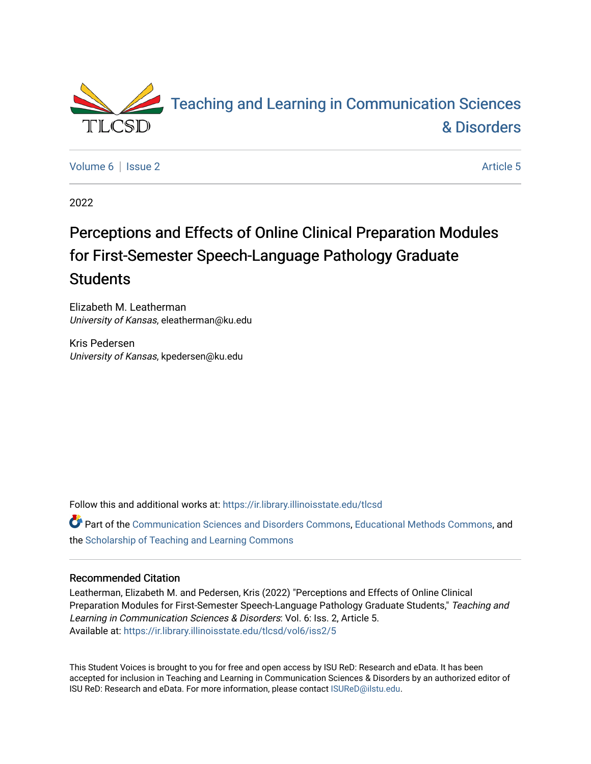

[Volume 6](https://ir.library.illinoisstate.edu/tlcsd/vol6) | [Issue 2](https://ir.library.illinoisstate.edu/tlcsd/vol6/iss2) Article 5

2022

# Perceptions and Effects of Online Clinical Preparation Modules for First-Semester Speech-Language Pathology Graduate **Students**

Elizabeth M. Leatherman University of Kansas, eleatherman@ku.edu

Kris Pedersen University of Kansas, kpedersen@ku.edu

Follow this and additional works at: [https://ir.library.illinoisstate.edu/tlcsd](https://ir.library.illinoisstate.edu/tlcsd?utm_source=ir.library.illinoisstate.edu%2Ftlcsd%2Fvol6%2Fiss2%2F5&utm_medium=PDF&utm_campaign=PDFCoverPages)

Part of the [Communication Sciences and Disorders Commons](https://network.bepress.com/hgg/discipline/1019?utm_source=ir.library.illinoisstate.edu%2Ftlcsd%2Fvol6%2Fiss2%2F5&utm_medium=PDF&utm_campaign=PDFCoverPages), [Educational Methods Commons](https://network.bepress.com/hgg/discipline/1227?utm_source=ir.library.illinoisstate.edu%2Ftlcsd%2Fvol6%2Fiss2%2F5&utm_medium=PDF&utm_campaign=PDFCoverPages), and the [Scholarship of Teaching and Learning Commons](https://network.bepress.com/hgg/discipline/1328?utm_source=ir.library.illinoisstate.edu%2Ftlcsd%2Fvol6%2Fiss2%2F5&utm_medium=PDF&utm_campaign=PDFCoverPages)

#### Recommended Citation

Leatherman, Elizabeth M. and Pedersen, Kris (2022) "Perceptions and Effects of Online Clinical Preparation Modules for First-Semester Speech-Language Pathology Graduate Students," Teaching and Learning in Communication Sciences & Disorders: Vol. 6: Iss. 2, Article 5. Available at: [https://ir.library.illinoisstate.edu/tlcsd/vol6/iss2/5](https://ir.library.illinoisstate.edu/tlcsd/vol6/iss2/5?utm_source=ir.library.illinoisstate.edu%2Ftlcsd%2Fvol6%2Fiss2%2F5&utm_medium=PDF&utm_campaign=PDFCoverPages) 

This Student Voices is brought to you for free and open access by ISU ReD: Research and eData. It has been accepted for inclusion in Teaching and Learning in Communication Sciences & Disorders by an authorized editor of ISU ReD: Research and eData. For more information, please contact [ISUReD@ilstu.edu.](mailto:ISUReD@ilstu.edu)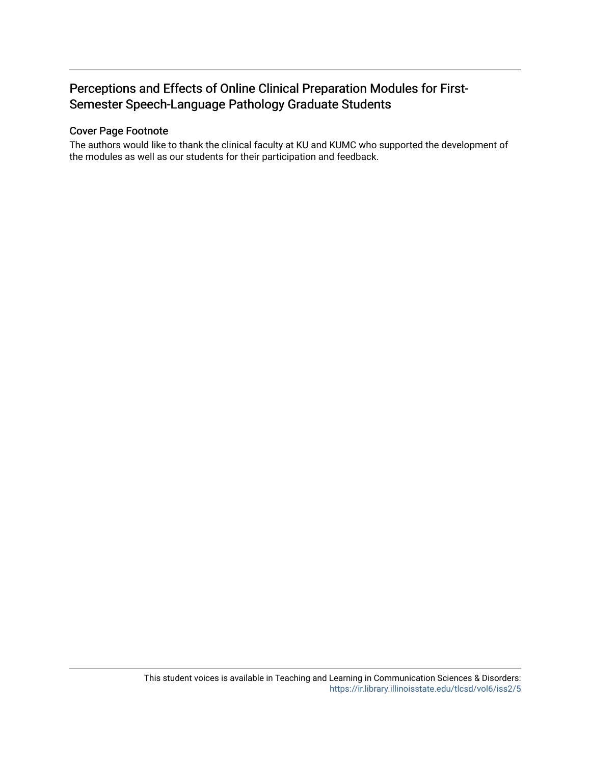## Perceptions and Effects of Online Clinical Preparation Modules for First-Semester Speech-Language Pathology Graduate Students

#### Cover Page Footnote

The authors would like to thank the clinical faculty at KU and KUMC who supported the development of the modules as well as our students for their participation and feedback.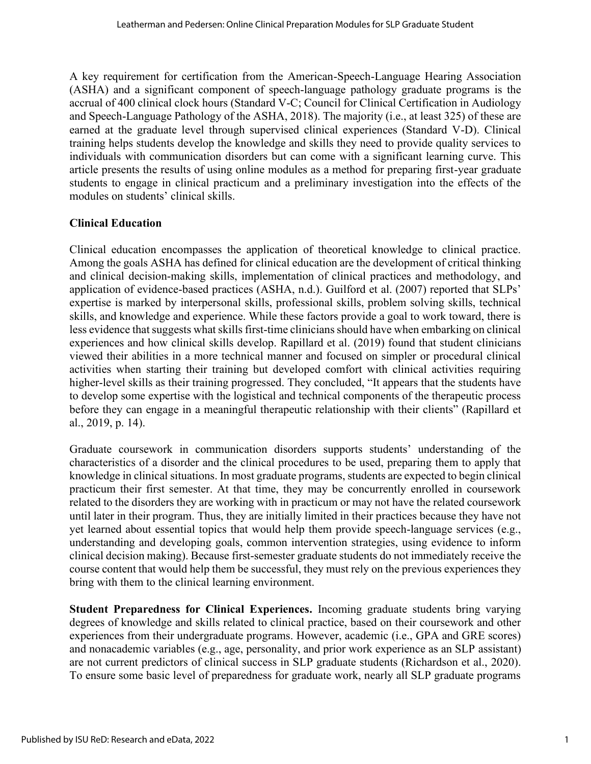A key requirement for certification from the American-Speech-Language Hearing Association (ASHA) and a significant component of speech-language pathology graduate programs is the accrual of 400 clinical clock hours (Standard V-C; Council for Clinical Certification in Audiology and Speech-Language Pathology of the ASHA, 2018). The majority (i.e., at least 325) of these are earned at the graduate level through supervised clinical experiences (Standard V-D). Clinical training helps students develop the knowledge and skills they need to provide quality services to individuals with communication disorders but can come with a significant learning curve. This article presents the results of using online modules as a method for preparing first-year graduate students to engage in clinical practicum and a preliminary investigation into the effects of the modules on students' clinical skills.

## **Clinical Education**

Clinical education encompasses the application of theoretical knowledge to clinical practice. Among the goals ASHA has defined for clinical education are the development of critical thinking and clinical decision-making skills, implementation of clinical practices and methodology, and application of evidence-based practices (ASHA, n.d.). Guilford et al. (2007) reported that SLPs' expertise is marked by interpersonal skills, professional skills, problem solving skills, technical skills, and knowledge and experience. While these factors provide a goal to work toward, there is less evidence that suggests what skills first-time clinicians should have when embarking on clinical experiences and how clinical skills develop. Rapillard et al. (2019) found that student clinicians viewed their abilities in a more technical manner and focused on simpler or procedural clinical activities when starting their training but developed comfort with clinical activities requiring higher-level skills as their training progressed. They concluded, "It appears that the students have to develop some expertise with the logistical and technical components of the therapeutic process before they can engage in a meaningful therapeutic relationship with their clients" (Rapillard et al., 2019, p. 14).

Graduate coursework in communication disorders supports students' understanding of the characteristics of a disorder and the clinical procedures to be used, preparing them to apply that knowledge in clinical situations. In most graduate programs, students are expected to begin clinical practicum their first semester. At that time, they may be concurrently enrolled in coursework related to the disorders they are working with in practicum or may not have the related coursework until later in their program. Thus, they are initially limited in their practices because they have not yet learned about essential topics that would help them provide speech-language services (e.g., understanding and developing goals, common intervention strategies, using evidence to inform clinical decision making). Because first-semester graduate students do not immediately receive the course content that would help them be successful, they must rely on the previous experiences they bring with them to the clinical learning environment.

**Student Preparedness for Clinical Experiences.** Incoming graduate students bring varying degrees of knowledge and skills related to clinical practice, based on their coursework and other experiences from their undergraduate programs. However, academic (i.e., GPA and GRE scores) and nonacademic variables (e.g., age, personality, and prior work experience as an SLP assistant) are not current predictors of clinical success in SLP graduate students (Richardson et al., 2020). To ensure some basic level of preparedness for graduate work, nearly all SLP graduate programs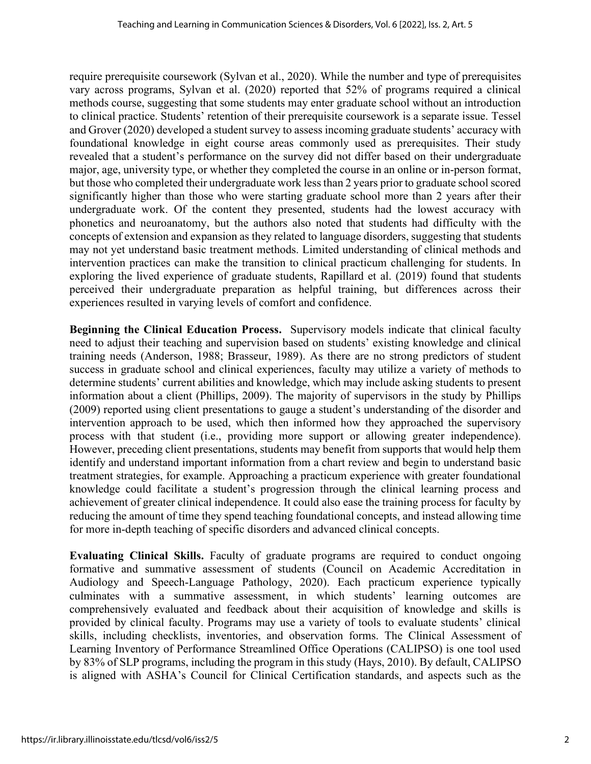require prerequisite coursework (Sylvan et al., 2020). While the number and type of prerequisites vary across programs, Sylvan et al. (2020) reported that 52% of programs required a clinical methods course, suggesting that some students may enter graduate school without an introduction to clinical practice. Students' retention of their prerequisite coursework is a separate issue. Tessel and Grover (2020) developed a student survey to assess incoming graduate students' accuracy with foundational knowledge in eight course areas commonly used as prerequisites. Their study revealed that a student's performance on the survey did not differ based on their undergraduate major, age, university type, or whether they completed the course in an online or in-person format, but those who completed their undergraduate work less than 2 years prior to graduate school scored significantly higher than those who were starting graduate school more than 2 years after their undergraduate work. Of the content they presented, students had the lowest accuracy with phonetics and neuroanatomy, but the authors also noted that students had difficulty with the concepts of extension and expansion as they related to language disorders, suggesting that students may not yet understand basic treatment methods. Limited understanding of clinical methods and intervention practices can make the transition to clinical practicum challenging for students. In exploring the lived experience of graduate students, Rapillard et al. (2019) found that students perceived their undergraduate preparation as helpful training, but differences across their experiences resulted in varying levels of comfort and confidence.

**Beginning the Clinical Education Process.** Supervisory models indicate that clinical faculty need to adjust their teaching and supervision based on students' existing knowledge and clinical training needs (Anderson, 1988; Brasseur, 1989). As there are no strong predictors of student success in graduate school and clinical experiences, faculty may utilize a variety of methods to determine students' current abilities and knowledge, which may include asking students to present information about a client (Phillips, 2009). The majority of supervisors in the study by Phillips (2009) reported using client presentations to gauge a student's understanding of the disorder and intervention approach to be used, which then informed how they approached the supervisory process with that student (i.e., providing more support or allowing greater independence). However, preceding client presentations, students may benefit from supports that would help them identify and understand important information from a chart review and begin to understand basic treatment strategies, for example. Approaching a practicum experience with greater foundational knowledge could facilitate a student's progression through the clinical learning process and achievement of greater clinical independence. It could also ease the training process for faculty by reducing the amount of time they spend teaching foundational concepts, and instead allowing time for more in-depth teaching of specific disorders and advanced clinical concepts.

**Evaluating Clinical Skills.** Faculty of graduate programs are required to conduct ongoing formative and summative assessment of students (Council on Academic Accreditation in Audiology and Speech-Language Pathology, 2020). Each practicum experience typically culminates with a summative assessment, in which students' learning outcomes are comprehensively evaluated and feedback about their acquisition of knowledge and skills is provided by clinical faculty. Programs may use a variety of tools to evaluate students' clinical skills, including checklists, inventories, and observation forms. The Clinical Assessment of Learning Inventory of Performance Streamlined Office Operations (CALIPSO) is one tool used by 83% of SLP programs, including the program in this study (Hays, 2010). By default, CALIPSO is aligned with ASHA's Council for Clinical Certification standards, and aspects such as the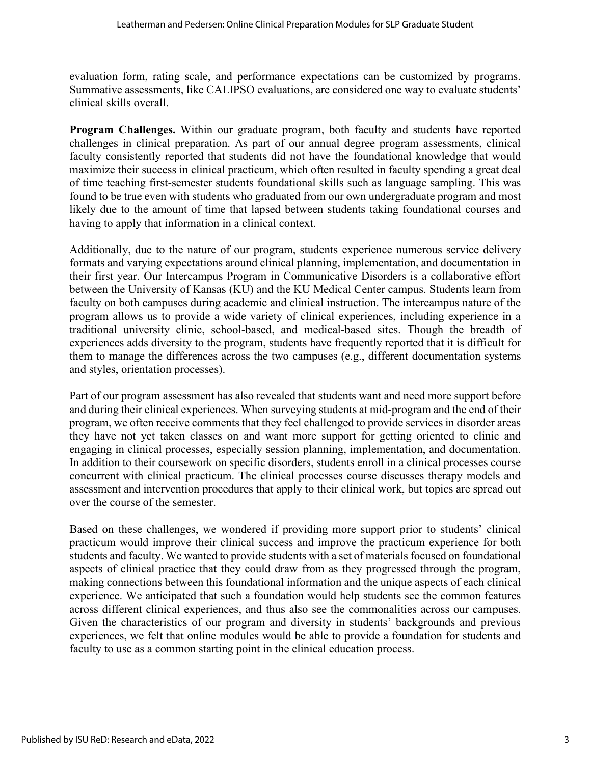evaluation form, rating scale, and performance expectations can be customized by programs. Summative assessments, like CALIPSO evaluations, are considered one way to evaluate students' clinical skills overall.

**Program Challenges.** Within our graduate program, both faculty and students have reported challenges in clinical preparation. As part of our annual degree program assessments, clinical faculty consistently reported that students did not have the foundational knowledge that would maximize their success in clinical practicum, which often resulted in faculty spending a great deal of time teaching first-semester students foundational skills such as language sampling. This was found to be true even with students who graduated from our own undergraduate program and most likely due to the amount of time that lapsed between students taking foundational courses and having to apply that information in a clinical context.

Additionally, due to the nature of our program, students experience numerous service delivery formats and varying expectations around clinical planning, implementation, and documentation in their first year. Our Intercampus Program in Communicative Disorders is a collaborative effort between the University of Kansas (KU) and the KU Medical Center campus. Students learn from faculty on both campuses during academic and clinical instruction. The intercampus nature of the program allows us to provide a wide variety of clinical experiences, including experience in a traditional university clinic, school-based, and medical-based sites. Though the breadth of experiences adds diversity to the program, students have frequently reported that it is difficult for them to manage the differences across the two campuses (e.g., different documentation systems and styles, orientation processes).

Part of our program assessment has also revealed that students want and need more support before and during their clinical experiences. When surveying students at mid-program and the end of their program, we often receive comments that they feel challenged to provide services in disorder areas they have not yet taken classes on and want more support for getting oriented to clinic and engaging in clinical processes, especially session planning, implementation, and documentation. In addition to their coursework on specific disorders, students enroll in a clinical processes course concurrent with clinical practicum. The clinical processes course discusses therapy models and assessment and intervention procedures that apply to their clinical work, but topics are spread out over the course of the semester.

Based on these challenges, we wondered if providing more support prior to students' clinical practicum would improve their clinical success and improve the practicum experience for both students and faculty. We wanted to provide students with a set of materials focused on foundational aspects of clinical practice that they could draw from as they progressed through the program, making connections between this foundational information and the unique aspects of each clinical experience. We anticipated that such a foundation would help students see the common features across different clinical experiences, and thus also see the commonalities across our campuses. Given the characteristics of our program and diversity in students' backgrounds and previous experiences, we felt that online modules would be able to provide a foundation for students and faculty to use as a common starting point in the clinical education process.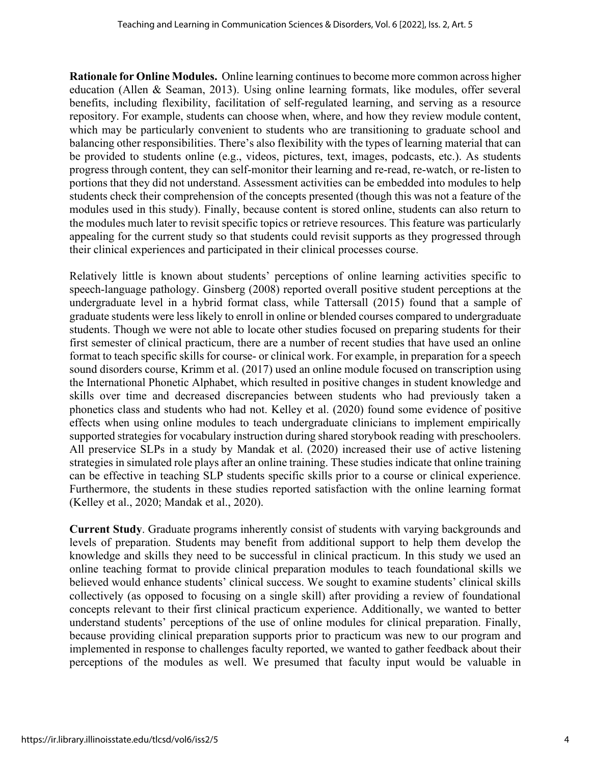**Rationale for Online Modules.** Online learning continues to become more common across higher education (Allen & Seaman, 2013). Using online learning formats, like modules, offer several benefits, including flexibility, facilitation of self-regulated learning, and serving as a resource repository. For example, students can choose when, where, and how they review module content, which may be particularly convenient to students who are transitioning to graduate school and balancing other responsibilities. There's also flexibility with the types of learning material that can be provided to students online (e.g., videos, pictures, text, images, podcasts, etc.). As students progress through content, they can self-monitor their learning and re-read, re-watch, or re-listen to portions that they did not understand. Assessment activities can be embedded into modules to help students check their comprehension of the concepts presented (though this was not a feature of the modules used in this study). Finally, because content is stored online, students can also return to the modules much later to revisit specific topics or retrieve resources. This feature was particularly appealing for the current study so that students could revisit supports as they progressed through their clinical experiences and participated in their clinical processes course.

Relatively little is known about students' perceptions of online learning activities specific to speech-language pathology. Ginsberg (2008) reported overall positive student perceptions at the undergraduate level in a hybrid format class, while Tattersall (2015) found that a sample of graduate students were less likely to enroll in online or blended courses compared to undergraduate students. Though we were not able to locate other studies focused on preparing students for their first semester of clinical practicum, there are a number of recent studies that have used an online format to teach specific skills for course- or clinical work. For example, in preparation for a speech sound disorders course, Krimm et al. (2017) used an online module focused on transcription using the International Phonetic Alphabet, which resulted in positive changes in student knowledge and skills over time and decreased discrepancies between students who had previously taken a phonetics class and students who had not. Kelley et al. (2020) found some evidence of positive effects when using online modules to teach undergraduate clinicians to implement empirically supported strategies for vocabulary instruction during shared storybook reading with preschoolers. All preservice SLPs in a study by Mandak et al. (2020) increased their use of active listening strategies in simulated role plays after an online training. These studies indicate that online training can be effective in teaching SLP students specific skills prior to a course or clinical experience. Furthermore, the students in these studies reported satisfaction with the online learning format (Kelley et al., 2020; Mandak et al., 2020).

**Current Study**. Graduate programs inherently consist of students with varying backgrounds and levels of preparation. Students may benefit from additional support to help them develop the knowledge and skills they need to be successful in clinical practicum. In this study we used an online teaching format to provide clinical preparation modules to teach foundational skills we believed would enhance students' clinical success. We sought to examine students' clinical skills collectively (as opposed to focusing on a single skill) after providing a review of foundational concepts relevant to their first clinical practicum experience. Additionally, we wanted to better understand students' perceptions of the use of online modules for clinical preparation. Finally, because providing clinical preparation supports prior to practicum was new to our program and implemented in response to challenges faculty reported, we wanted to gather feedback about their perceptions of the modules as well. We presumed that faculty input would be valuable in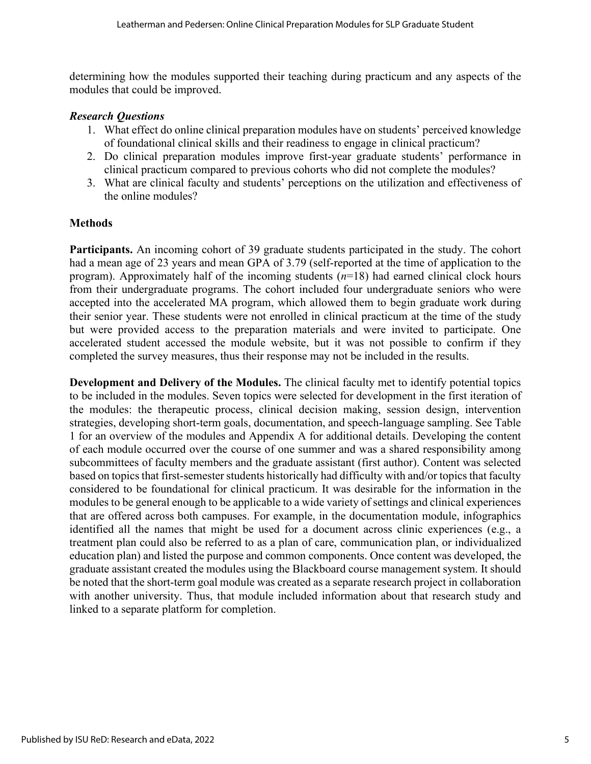determining how the modules supported their teaching during practicum and any aspects of the modules that could be improved.

#### *Research Questions*

- 1. What effect do online clinical preparation modules have on students' perceived knowledge of foundational clinical skills and their readiness to engage in clinical practicum?
- 2. Do clinical preparation modules improve first-year graduate students' performance in clinical practicum compared to previous cohorts who did not complete the modules?
- 3. What are clinical faculty and students' perceptions on the utilization and effectiveness of the online modules?

#### **Methods**

**Participants.** An incoming cohort of 39 graduate students participated in the study. The cohort had a mean age of 23 years and mean GPA of 3.79 (self-reported at the time of application to the program). Approximately half of the incoming students (*n*=18) had earned clinical clock hours from their undergraduate programs. The cohort included four undergraduate seniors who were accepted into the accelerated MA program, which allowed them to begin graduate work during their senior year. These students were not enrolled in clinical practicum at the time of the study but were provided access to the preparation materials and were invited to participate. One accelerated student accessed the module website, but it was not possible to confirm if they completed the survey measures, thus their response may not be included in the results.

**Development and Delivery of the Modules.** The clinical faculty met to identify potential topics to be included in the modules. Seven topics were selected for development in the first iteration of the modules: the therapeutic process, clinical decision making, session design, intervention strategies, developing short-term goals, documentation, and speech-language sampling. See Table 1 for an overview of the modules and Appendix A for additional details. Developing the content of each module occurred over the course of one summer and was a shared responsibility among subcommittees of faculty members and the graduate assistant (first author). Content was selected based on topics that first-semester students historically had difficulty with and/or topics that faculty considered to be foundational for clinical practicum. It was desirable for the information in the modules to be general enough to be applicable to a wide variety of settings and clinical experiences that are offered across both campuses. For example, in the documentation module, infographics identified all the names that might be used for a document across clinic experiences (e.g., a treatment plan could also be referred to as a plan of care, communication plan, or individualized education plan) and listed the purpose and common components. Once content was developed, the graduate assistant created the modules using the Blackboard course management system. It should be noted that the short-term goal module was created as a separate research project in collaboration with another university. Thus, that module included information about that research study and linked to a separate platform for completion.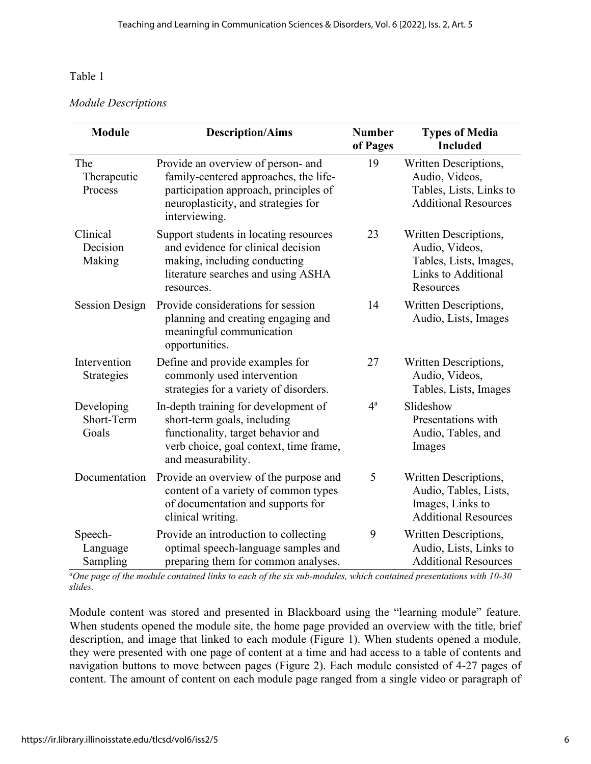#### *Module Descriptions*

| <b>Module</b>                     | <b>Description/Aims</b>                                                                                                                                                      | <b>Number</b><br>of Pages | <b>Types of Media</b><br><b>Included</b>                                                              |
|-----------------------------------|------------------------------------------------------------------------------------------------------------------------------------------------------------------------------|---------------------------|-------------------------------------------------------------------------------------------------------|
| The<br>Therapeutic<br>Process     | Provide an overview of person- and<br>family-centered approaches, the life-<br>participation approach, principles of<br>neuroplasticity, and strategies for<br>interviewing. | 19                        | Written Descriptions,<br>Audio, Videos,<br>Tables, Lists, Links to<br><b>Additional Resources</b>     |
| Clinical<br>Decision<br>Making    | Support students in locating resources<br>and evidence for clinical decision<br>making, including conducting<br>literature searches and using ASHA<br>resources.             | 23                        | Written Descriptions,<br>Audio, Videos,<br>Tables, Lists, Images,<br>Links to Additional<br>Resources |
| <b>Session Design</b>             | Provide considerations for session<br>planning and creating engaging and<br>meaningful communication<br>opportunities.                                                       | 14                        | Written Descriptions,<br>Audio, Lists, Images                                                         |
| Intervention<br>Strategies        | Define and provide examples for<br>commonly used intervention<br>strategies for a variety of disorders.                                                                      | 27                        | Written Descriptions,<br>Audio, Videos,<br>Tables, Lists, Images                                      |
| Developing<br>Short-Term<br>Goals | In-depth training for development of<br>short-term goals, including<br>functionality, target behavior and<br>verb choice, goal context, time frame,<br>and measurability.    | $4^{\mathrm{a}}$          | Slideshow<br>Presentations with<br>Audio, Tables, and<br>Images                                       |
| Documentation                     | Provide an overview of the purpose and<br>content of a variety of common types<br>of documentation and supports for<br>clinical writing.                                     | 5                         | Written Descriptions,<br>Audio, Tables, Lists,<br>Images, Links to<br><b>Additional Resources</b>     |
| Speech-<br>Language<br>Sampling   | Provide an introduction to collecting<br>optimal speech-language samples and<br>preparing them for common analyses.                                                          | 9                         | Written Descriptions,<br>Audio, Lists, Links to<br><b>Additional Resources</b>                        |

*<sup>a</sup>One page of the module contained links to each of the six sub-modules, which contained presentations with 10-30 slides.*

Module content was stored and presented in Blackboard using the "learning module" feature. When students opened the module site, the home page provided an overview with the title, brief description, and image that linked to each module (Figure 1). When students opened a module, they were presented with one page of content at a time and had access to a table of contents and navigation buttons to move between pages (Figure 2). Each module consisted of 4-27 pages of content. The amount of content on each module page ranged from a single video or paragraph of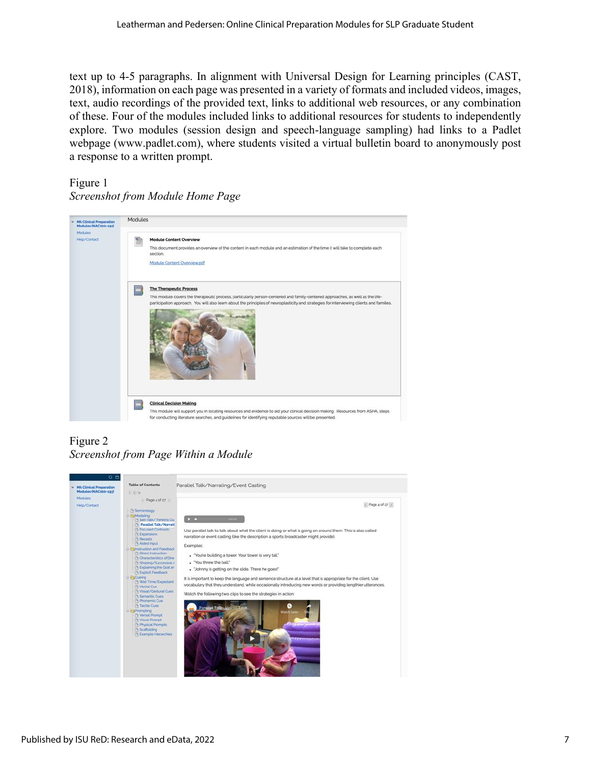text up to 4-5 paragraphs. In alignment with Universal Design for Learning principles (CAST, 2018), information on each page was presented in a variety of formats and included videos, images, text, audio recordings of the provided text, links to additional web resources, or any combination of these. Four of the modules included links to additional resources for students to independently explore. Two modules (session design and speech-language sampling) had links to a Padlet webpage (www.padlet.com), where students visited a virtual bulletin board to anonymously post a response to a written prompt.

## Figure 1 *Screenshot from Module Home Page*



## Figure 2 *Screenshot from Page Within a Module*

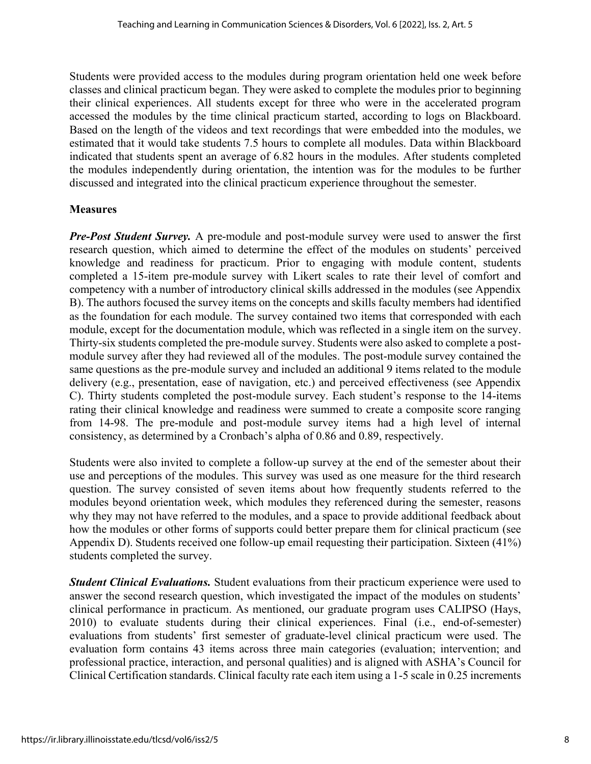Students were provided access to the modules during program orientation held one week before classes and clinical practicum began. They were asked to complete the modules prior to beginning their clinical experiences. All students except for three who were in the accelerated program accessed the modules by the time clinical practicum started, according to logs on Blackboard. Based on the length of the videos and text recordings that were embedded into the modules, we estimated that it would take students 7.5 hours to complete all modules. Data within Blackboard indicated that students spent an average of 6.82 hours in the modules. After students completed the modules independently during orientation, the intention was for the modules to be further discussed and integrated into the clinical practicum experience throughout the semester.

#### **Measures**

*Pre-Post Student Survey.* A pre-module and post-module survey were used to answer the first research question, which aimed to determine the effect of the modules on students' perceived knowledge and readiness for practicum. Prior to engaging with module content, students completed a 15-item pre-module survey with Likert scales to rate their level of comfort and competency with a number of introductory clinical skills addressed in the modules (see Appendix B). The authors focused the survey items on the concepts and skills faculty members had identified as the foundation for each module. The survey contained two items that corresponded with each module, except for the documentation module, which was reflected in a single item on the survey. Thirty-six students completed the pre-module survey. Students were also asked to complete a postmodule survey after they had reviewed all of the modules. The post-module survey contained the same questions as the pre-module survey and included an additional 9 items related to the module delivery (e.g., presentation, ease of navigation, etc.) and perceived effectiveness (see Appendix C). Thirty students completed the post-module survey. Each student's response to the 14-items rating their clinical knowledge and readiness were summed to create a composite score ranging from 14-98. The pre-module and post-module survey items had a high level of internal consistency, as determined by a Cronbach's alpha of 0.86 and 0.89, respectively.

Students were also invited to complete a follow-up survey at the end of the semester about their use and perceptions of the modules. This survey was used as one measure for the third research question. The survey consisted of seven items about how frequently students referred to the modules beyond orientation week, which modules they referenced during the semester, reasons why they may not have referred to the modules, and a space to provide additional feedback about how the modules or other forms of supports could better prepare them for clinical practicum (see Appendix D). Students received one follow-up email requesting their participation. Sixteen (41%) students completed the survey.

*Student Clinical Evaluations.* Student evaluations from their practicum experience were used to answer the second research question, which investigated the impact of the modules on students' clinical performance in practicum. As mentioned, our graduate program uses CALIPSO (Hays, 2010) to evaluate students during their clinical experiences. Final (i.e., end-of-semester) evaluations from students' first semester of graduate-level clinical practicum were used. The evaluation form contains 43 items across three main categories (evaluation; intervention; and professional practice, interaction, and personal qualities) and is aligned with ASHA's Council for Clinical Certification standards. Clinical faculty rate each item using a 1-5 scale in 0.25 increments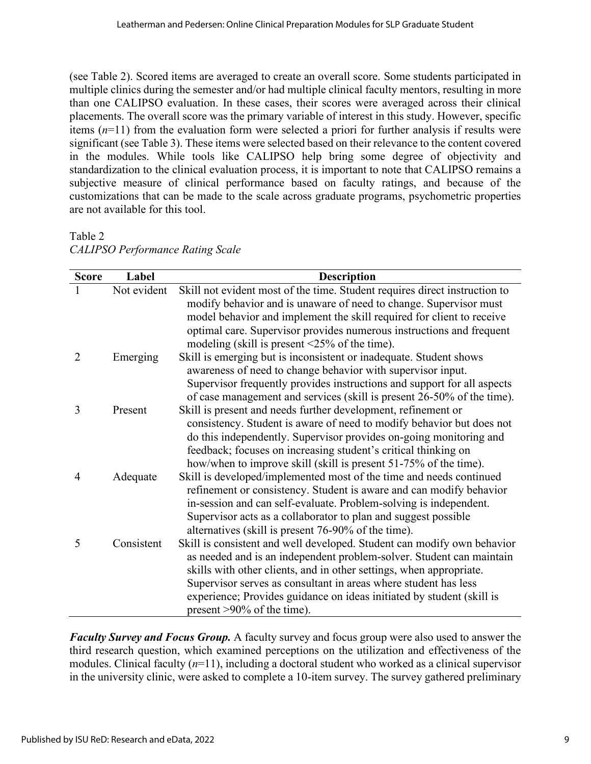(see Table 2). Scored items are averaged to create an overall score. Some students participated in multiple clinics during the semester and/or had multiple clinical faculty mentors, resulting in more than one CALIPSO evaluation. In these cases, their scores were averaged across their clinical placements. The overall score was the primary variable of interest in this study. However, specific items (*n*=11) from the evaluation form were selected a priori for further analysis if results were significant (see Table 3). These items were selected based on their relevance to the content covered in the modules. While tools like CALIPSO help bring some degree of objectivity and standardization to the clinical evaluation process, it is important to note that CALIPSO remains a subjective measure of clinical performance based on faculty ratings, and because of the customizations that can be made to the scale across graduate programs, psychometric properties are not available for this tool.

Table 2 *CALIPSO Performance Rating Scale*

| <b>Score</b>   | Label       | <b>Description</b>                                                         |
|----------------|-------------|----------------------------------------------------------------------------|
|                | Not evident | Skill not evident most of the time. Student requires direct instruction to |
|                |             | modify behavior and is unaware of need to change. Supervisor must          |
|                |             | model behavior and implement the skill required for client to receive      |
|                |             | optimal care. Supervisor provides numerous instructions and frequent       |
|                |             | modeling (skill is present $\leq$ 25% of the time).                        |
| $\overline{2}$ | Emerging    | Skill is emerging but is inconsistent or inadequate. Student shows         |
|                |             | awareness of need to change behavior with supervisor input.                |
|                |             | Supervisor frequently provides instructions and support for all aspects    |
|                |             | of case management and services (skill is present 26-50% of the time).     |
| 3              | Present     | Skill is present and needs further development, refinement or              |
|                |             | consistency. Student is aware of need to modify behavior but does not      |
|                |             | do this independently. Supervisor provides on-going monitoring and         |
|                |             | feedback; focuses on increasing student's critical thinking on             |
|                |             | how/when to improve skill (skill is present 51-75% of the time).           |
| 4              | Adequate    | Skill is developed/implemented most of the time and needs continued        |
|                |             | refinement or consistency. Student is aware and can modify behavior        |
|                |             | in-session and can self-evaluate. Problem-solving is independent.          |
|                |             | Supervisor acts as a collaborator to plan and suggest possible             |
|                |             | alternatives (skill is present 76-90% of the time).                        |
| 5              | Consistent  | Skill is consistent and well developed. Student can modify own behavior    |
|                |             | as needed and is an independent problem-solver. Student can maintain       |
|                |             | skills with other clients, and in other settings, when appropriate.        |
|                |             | Supervisor serves as consultant in areas where student has less            |
|                |             | experience; Provides guidance on ideas initiated by student (skill is      |
|                |             | present >90% of the time).                                                 |

*Faculty Survey and Focus Group.* A faculty survey and focus group were also used to answer the third research question, which examined perceptions on the utilization and effectiveness of the modules. Clinical faculty (*n*=11), including a doctoral student who worked as a clinical supervisor in the university clinic, were asked to complete a 10-item survey. The survey gathered preliminary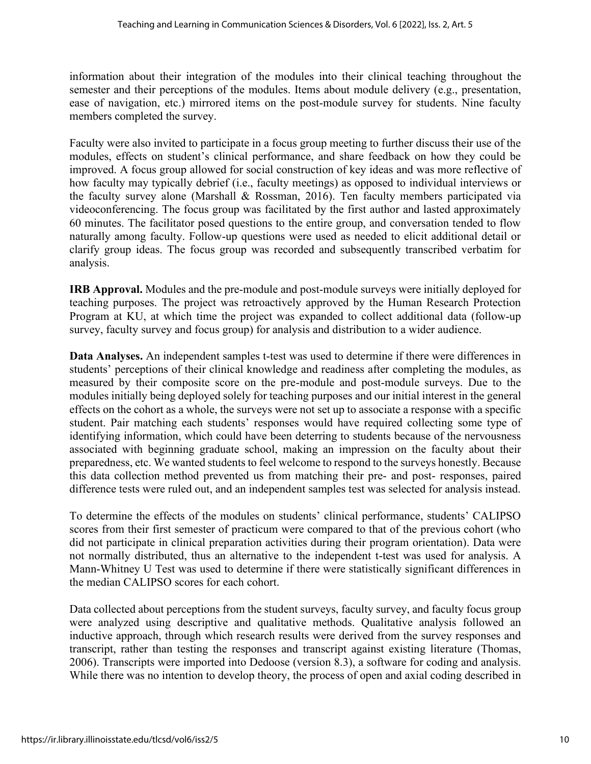information about their integration of the modules into their clinical teaching throughout the semester and their perceptions of the modules. Items about module delivery (e.g., presentation, ease of navigation, etc.) mirrored items on the post-module survey for students. Nine faculty members completed the survey.

Faculty were also invited to participate in a focus group meeting to further discuss their use of the modules, effects on student's clinical performance, and share feedback on how they could be improved. A focus group allowed for social construction of key ideas and was more reflective of how faculty may typically debrief (i.e., faculty meetings) as opposed to individual interviews or the faculty survey alone (Marshall & Rossman, 2016). Ten faculty members participated via videoconferencing. The focus group was facilitated by the first author and lasted approximately 60 minutes. The facilitator posed questions to the entire group, and conversation tended to flow naturally among faculty. Follow-up questions were used as needed to elicit additional detail or clarify group ideas. The focus group was recorded and subsequently transcribed verbatim for analysis.

**IRB Approval.** Modules and the pre-module and post-module surveys were initially deployed for teaching purposes. The project was retroactively approved by the Human Research Protection Program at KU, at which time the project was expanded to collect additional data (follow-up survey, faculty survey and focus group) for analysis and distribution to a wider audience.

**Data Analyses.** An independent samples t-test was used to determine if there were differences in students' perceptions of their clinical knowledge and readiness after completing the modules, as measured by their composite score on the pre-module and post-module surveys. Due to the modules initially being deployed solely for teaching purposes and our initial interest in the general effects on the cohort as a whole, the surveys were not set up to associate a response with a specific student. Pair matching each students' responses would have required collecting some type of identifying information, which could have been deterring to students because of the nervousness associated with beginning graduate school, making an impression on the faculty about their preparedness, etc. We wanted students to feel welcome to respond to the surveys honestly. Because this data collection method prevented us from matching their pre- and post- responses, paired difference tests were ruled out, and an independent samples test was selected for analysis instead.

To determine the effects of the modules on students' clinical performance, students' CALIPSO scores from their first semester of practicum were compared to that of the previous cohort (who did not participate in clinical preparation activities during their program orientation). Data were not normally distributed, thus an alternative to the independent t-test was used for analysis. A Mann-Whitney U Test was used to determine if there were statistically significant differences in the median CALIPSO scores for each cohort.

Data collected about perceptions from the student surveys, faculty survey, and faculty focus group were analyzed using descriptive and qualitative methods. Qualitative analysis followed an inductive approach, through which research results were derived from the survey responses and transcript, rather than testing the responses and transcript against existing literature (Thomas, 2006). Transcripts were imported into Dedoose (version 8.3), a software for coding and analysis. While there was no intention to develop theory, the process of open and axial coding described in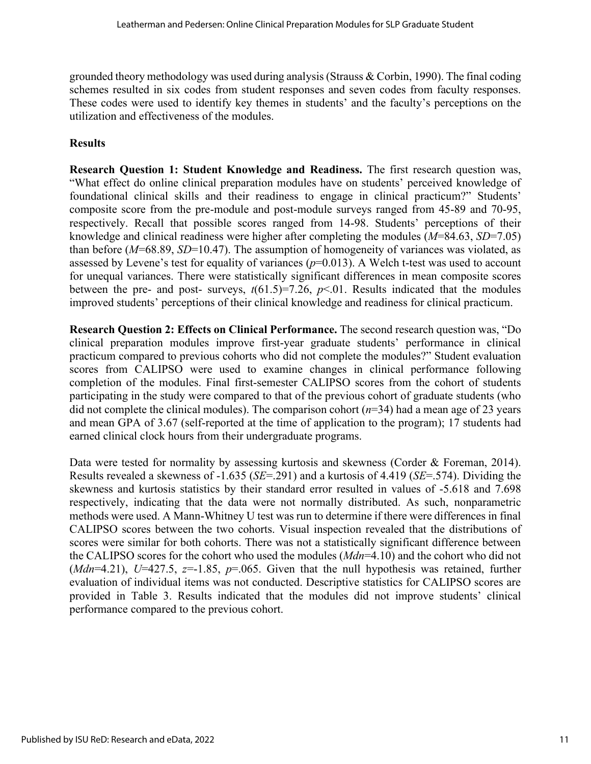grounded theory methodology was used during analysis (Strauss & Corbin, 1990). The final coding schemes resulted in six codes from student responses and seven codes from faculty responses. These codes were used to identify key themes in students' and the faculty's perceptions on the utilization and effectiveness of the modules.

## **Results**

**Research Question 1: Student Knowledge and Readiness.** The first research question was, "What effect do online clinical preparation modules have on students' perceived knowledge of foundational clinical skills and their readiness to engage in clinical practicum?" Students' composite score from the pre-module and post-module surveys ranged from 45-89 and 70-95, respectively. Recall that possible scores ranged from 14-98. Students' perceptions of their knowledge and clinical readiness were higher after completing the modules (*M*=84.63, *SD*=7.05) than before (*M*=68.89, *SD*=10.47). The assumption of homogeneity of variances was violated, as assessed by Levene's test for equality of variances  $(p=0.013)$ . A Welch t-test was used to account for unequal variances. There were statistically significant differences in mean composite scores between the pre- and post- surveys,  $t(61.5)=7.26$ ,  $p<.01$ . Results indicated that the modules improved students' perceptions of their clinical knowledge and readiness for clinical practicum.

**Research Question 2: Effects on Clinical Performance.** The second research question was, "Do clinical preparation modules improve first-year graduate students' performance in clinical practicum compared to previous cohorts who did not complete the modules?" Student evaluation scores from CALIPSO were used to examine changes in clinical performance following completion of the modules. Final first-semester CALIPSO scores from the cohort of students participating in the study were compared to that of the previous cohort of graduate students (who did not complete the clinical modules). The comparison cohort (*n*=34) had a mean age of 23 years and mean GPA of 3.67 (self-reported at the time of application to the program); 17 students had earned clinical clock hours from their undergraduate programs.

Data were tested for normality by assessing kurtosis and skewness (Corder & Foreman, 2014). Results revealed a skewness of -1.635 (*SE*=.291) and a kurtosis of 4.419 (*SE*=.574). Dividing the skewness and kurtosis statistics by their standard error resulted in values of -5.618 and 7.698 respectively, indicating that the data were not normally distributed. As such, nonparametric methods were used. A Mann-Whitney U test was run to determine if there were differences in final CALIPSO scores between the two cohorts. Visual inspection revealed that the distributions of scores were similar for both cohorts. There was not a statistically significant difference between the CALIPSO scores for the cohort who used the modules (*Mdn*=4.10) and the cohort who did not (*Mdn*=4.21), *U*=427.5,  $z=1.85$ ,  $p=.065$ . Given that the null hypothesis was retained, further evaluation of individual items was not conducted. Descriptive statistics for CALIPSO scores are provided in Table 3. Results indicated that the modules did not improve students' clinical performance compared to the previous cohort.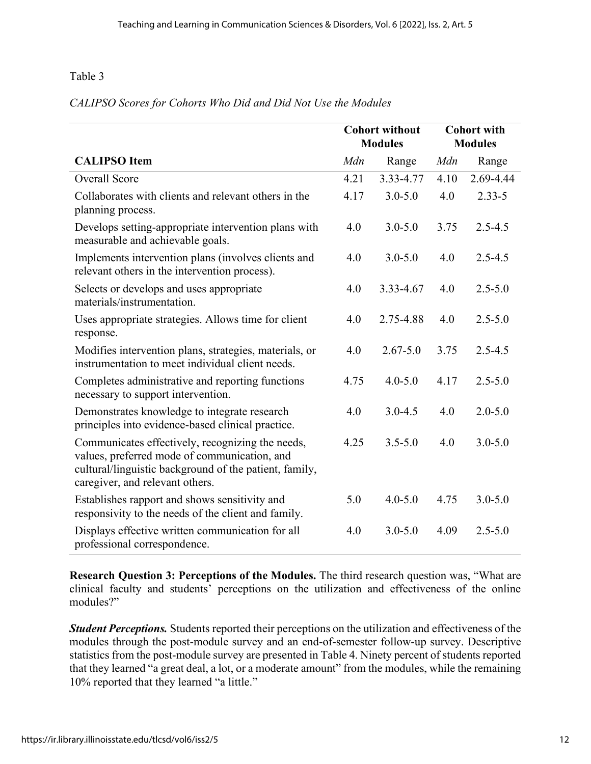## *CALIPSO Scores for Cohorts Who Did and Did Not Use the Modules*

|                                                                                                                                                                                               | <b>Cohort without</b><br><b>Modules</b> |              | <b>Cohort with</b><br><b>Modules</b> |             |
|-----------------------------------------------------------------------------------------------------------------------------------------------------------------------------------------------|-----------------------------------------|--------------|--------------------------------------|-------------|
| <b>CALIPSO</b> Item                                                                                                                                                                           | Mdn                                     | Range        | Mdn                                  | Range       |
| <b>Overall Score</b>                                                                                                                                                                          | 4.21                                    | 3.33-4.77    | 4.10                                 | 2.69-4.44   |
| Collaborates with clients and relevant others in the<br>planning process.                                                                                                                     | 4.17                                    | $3.0 - 5.0$  | 4.0                                  | $2.33 - 5$  |
| Develops setting-appropriate intervention plans with<br>measurable and achievable goals.                                                                                                      | 4.0                                     | $3.0 - 5.0$  | 3.75                                 | $2.5 - 4.5$ |
| Implements intervention plans (involves clients and<br>relevant others in the intervention process).                                                                                          | 4.0                                     | $3.0 - 5.0$  | 4.0                                  | $2.5 - 4.5$ |
| Selects or develops and uses appropriate<br>materials/instrumentation.                                                                                                                        | 4.0                                     | 3.33-4.67    | 4.0                                  | $2.5 - 5.0$ |
| Uses appropriate strategies. Allows time for client<br>response.                                                                                                                              | 4.0                                     | 2.75-4.88    | 4.0                                  | $2.5 - 5.0$ |
| Modifies intervention plans, strategies, materials, or<br>instrumentation to meet individual client needs.                                                                                    | 4.0                                     | $2.67 - 5.0$ | 3.75                                 | $2.5 - 4.5$ |
| Completes administrative and reporting functions<br>necessary to support intervention.                                                                                                        | 4.75                                    | $4.0 - 5.0$  | 4.17                                 | $2.5 - 5.0$ |
| Demonstrates knowledge to integrate research<br>principles into evidence-based clinical practice.                                                                                             | 4.0                                     | $3.0 - 4.5$  | 4.0                                  | $2.0 - 5.0$ |
| Communicates effectively, recognizing the needs,<br>values, preferred mode of communication, and<br>cultural/linguistic background of the patient, family,<br>caregiver, and relevant others. | 4.25                                    | $3.5 - 5.0$  | 4.0                                  | $3.0 - 5.0$ |
| Establishes rapport and shows sensitivity and<br>responsivity to the needs of the client and family.                                                                                          | 5.0                                     | $4.0 - 5.0$  | 4.75                                 | $3.0 - 5.0$ |
| Displays effective written communication for all<br>professional correspondence.                                                                                                              | 4.0                                     | $3.0 - 5.0$  | 4.09                                 | $2.5 - 5.0$ |

**Research Question 3: Perceptions of the Modules.** The third research question was, "What are clinical faculty and students' perceptions on the utilization and effectiveness of the online modules?"

*Student Perceptions.* Students reported their perceptions on the utilization and effectiveness of the modules through the post-module survey and an end-of-semester follow-up survey. Descriptive statistics from the post-module survey are presented in Table 4. Ninety percent of students reported that they learned "a great deal, a lot, or a moderate amount" from the modules, while the remaining 10% reported that they learned "a little."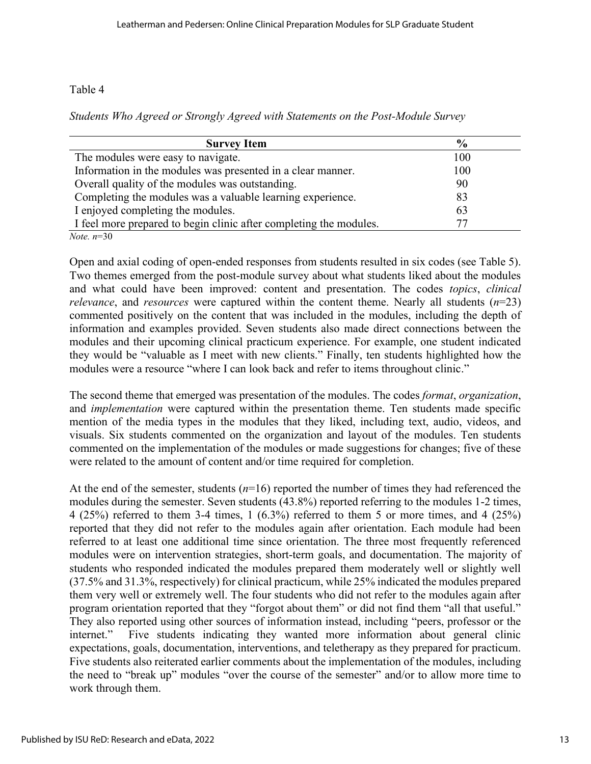*Students Who Agreed or Strongly Agreed with Statements on the Post-Module Survey*

| <b>Survey Item</b>                                                 | $\frac{6}{9}$ |
|--------------------------------------------------------------------|---------------|
| The modules were easy to navigate.                                 | 100           |
| Information in the modules was presented in a clear manner.        | 100           |
| Overall quality of the modules was outstanding.                    | 90            |
| Completing the modules was a valuable learning experience.         | 83            |
| I enjoyed completing the modules.                                  | 63            |
| I feel more prepared to begin clinic after completing the modules. |               |
| <i>Note.</i> $n=30$                                                |               |

Open and axial coding of open-ended responses from students resulted in six codes (see Table 5). Two themes emerged from the post-module survey about what students liked about the modules and what could have been improved: content and presentation. The codes *topics*, *clinical relevance*, and *resources* were captured within the content theme. Nearly all students (*n*=23) commented positively on the content that was included in the modules, including the depth of information and examples provided. Seven students also made direct connections between the modules and their upcoming clinical practicum experience. For example, one student indicated they would be "valuable as I meet with new clients." Finally, ten students highlighted how the modules were a resource "where I can look back and refer to items throughout clinic."

The second theme that emerged was presentation of the modules. The codes *format*, *organization*, and *implementation* were captured within the presentation theme. Ten students made specific mention of the media types in the modules that they liked, including text, audio, videos, and visuals. Six students commented on the organization and layout of the modules. Ten students commented on the implementation of the modules or made suggestions for changes; five of these were related to the amount of content and/or time required for completion.

At the end of the semester, students (*n*=16) reported the number of times they had referenced the modules during the semester. Seven students (43.8%) reported referring to the modules 1-2 times, 4 (25%) referred to them 3-4 times, 1 (6.3%) referred to them 5 or more times, and 4 (25%) reported that they did not refer to the modules again after orientation. Each module had been referred to at least one additional time since orientation. The three most frequently referenced modules were on intervention strategies, short-term goals, and documentation. The majority of students who responded indicated the modules prepared them moderately well or slightly well (37.5% and 31.3%, respectively) for clinical practicum, while 25% indicated the modules prepared them very well or extremely well. The four students who did not refer to the modules again after program orientation reported that they "forgot about them" or did not find them "all that useful." They also reported using other sources of information instead, including "peers, professor or the internet." Five students indicating they wanted more information about general clinic expectations, goals, documentation, interventions, and teletherapy as they prepared for practicum. Five students also reiterated earlier comments about the implementation of the modules, including the need to "break up" modules "over the course of the semester" and/or to allow more time to work through them.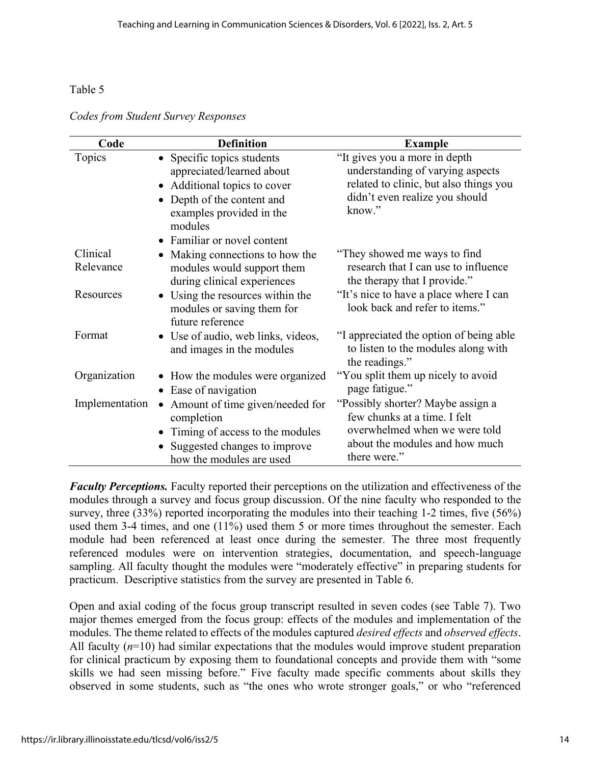*Codes from Student Survey Responses*

| Code                  | <b>Definition</b>                                                                                                                                                                         | <b>Example</b>                                                                                                                                          |
|-----------------------|-------------------------------------------------------------------------------------------------------------------------------------------------------------------------------------------|---------------------------------------------------------------------------------------------------------------------------------------------------------|
| Topics                | • Specific topics students<br>appreciated/learned about<br>• Additional topics to cover<br>Depth of the content and<br>examples provided in the<br>modules<br>• Familiar or novel content | "It gives you a more in depth<br>understanding of varying aspects<br>related to clinic, but also things you<br>didn't even realize you should<br>know." |
| Clinical<br>Relevance | Making connections to how the<br>modules would support them<br>during clinical experiences                                                                                                | "They showed me ways to find"<br>research that I can use to influence<br>the therapy that I provide."                                                   |
| Resources             | • Using the resources within the<br>modules or saving them for<br>future reference                                                                                                        | "It's nice to have a place where I can<br>look back and refer to items."                                                                                |
| Format                | • Use of audio, web links, videos,<br>and images in the modules                                                                                                                           | "I appreciated the option of being able<br>to listen to the modules along with<br>the readings."                                                        |
| Organization          | • How the modules were organized<br>• Ease of navigation                                                                                                                                  | "You split them up nicely to avoid"<br>page fatigue."                                                                                                   |
| Implementation        | Amount of time given/needed for<br>$\bullet$<br>completion<br>• Timing of access to the modules<br>Suggested changes to improve<br>how the modules are used                               | "Possibly shorter? Maybe assign a<br>few chunks at a time. I felt<br>overwhelmed when we were told<br>about the modules and how much<br>there were."    |

*Faculty Perceptions.* Faculty reported their perceptions on the utilization and effectiveness of the modules through a survey and focus group discussion. Of the nine faculty who responded to the survey, three (33%) reported incorporating the modules into their teaching 1-2 times, five (56%) used them 3-4 times, and one (11%) used them 5 or more times throughout the semester. Each module had been referenced at least once during the semester. The three most frequently referenced modules were on intervention strategies, documentation, and speech-language sampling. All faculty thought the modules were "moderately effective" in preparing students for practicum. Descriptive statistics from the survey are presented in Table 6.

Open and axial coding of the focus group transcript resulted in seven codes (see Table 7). Two major themes emerged from the focus group: effects of the modules and implementation of the modules. The theme related to effects of the modules captured *desired effects* and *observed effects*. All faculty ( $n=10$ ) had similar expectations that the modules would improve student preparation for clinical practicum by exposing them to foundational concepts and provide them with "some skills we had seen missing before." Five faculty made specific comments about skills they observed in some students, such as "the ones who wrote stronger goals," or who "referenced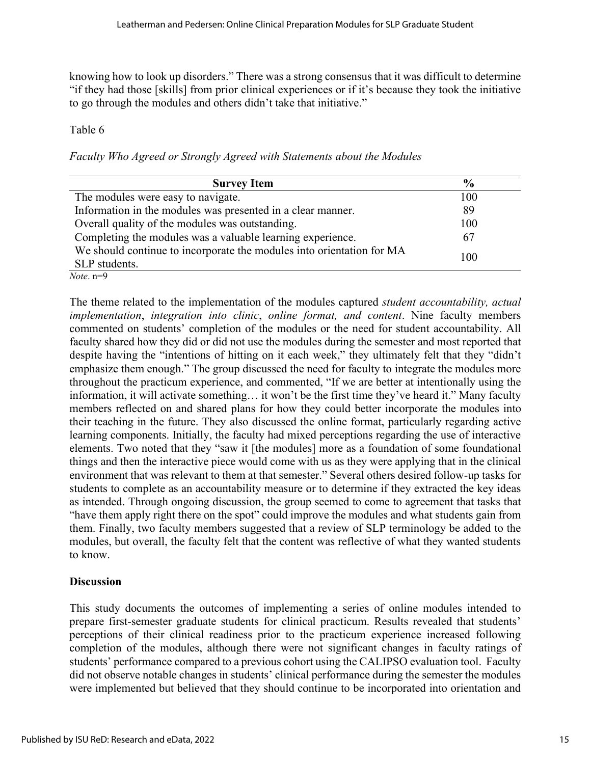knowing how to look up disorders." There was a strong consensus that it was difficult to determine "if they had those [skills] from prior clinical experiences or if it's because they took the initiative to go through the modules and others didn't take that initiative."

#### Table 6

*Faculty Who Agreed or Strongly Agreed with Statements about the Modules*

| <b>Survey Item</b>                                                    | $\frac{6}{9}$ |
|-----------------------------------------------------------------------|---------------|
| The modules were easy to navigate.                                    | 100           |
| Information in the modules was presented in a clear manner.           | 89            |
| Overall quality of the modules was outstanding.                       | 100           |
| Completing the modules was a valuable learning experience.            | 67            |
| We should continue to incorporate the modules into orientation for MA |               |
| SLP students.                                                         | 100           |
| <i>Note</i> . $n=9$                                                   |               |

The theme related to the implementation of the modules captured *student accountability, actual implementation*, *integration into clinic*, *online format, and content*. Nine faculty members commented on students' completion of the modules or the need for student accountability. All faculty shared how they did or did not use the modules during the semester and most reported that despite having the "intentions of hitting on it each week," they ultimately felt that they "didn't emphasize them enough." The group discussed the need for faculty to integrate the modules more throughout the practicum experience, and commented, "If we are better at intentionally using the information, it will activate something… it won't be the first time they've heard it." Many faculty members reflected on and shared plans for how they could better incorporate the modules into their teaching in the future. They also discussed the online format, particularly regarding active learning components. Initially, the faculty had mixed perceptions regarding the use of interactive elements. Two noted that they "saw it [the modules] more as a foundation of some foundational things and then the interactive piece would come with us as they were applying that in the clinical environment that was relevant to them at that semester." Several others desired follow-up tasks for students to complete as an accountability measure or to determine if they extracted the key ideas as intended. Through ongoing discussion, the group seemed to come to agreement that tasks that "have them apply right there on the spot" could improve the modules and what students gain from them. Finally, two faculty members suggested that a review of SLP terminology be added to the modules, but overall, the faculty felt that the content was reflective of what they wanted students to know.

## **Discussion**

This study documents the outcomes of implementing a series of online modules intended to prepare first-semester graduate students for clinical practicum. Results revealed that students' perceptions of their clinical readiness prior to the practicum experience increased following completion of the modules, although there were not significant changes in faculty ratings of students' performance compared to a previous cohort using the CALIPSO evaluation tool. Faculty did not observe notable changes in students' clinical performance during the semester the modules were implemented but believed that they should continue to be incorporated into orientation and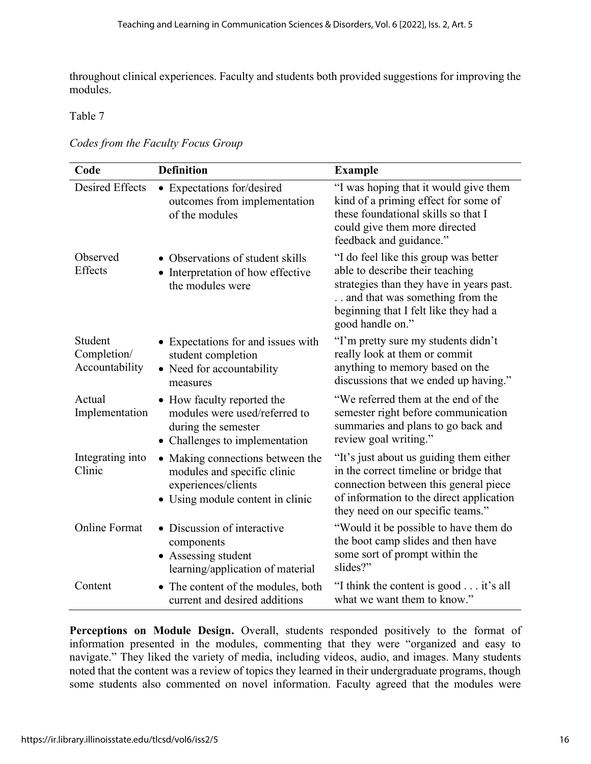throughout clinical experiences. Faculty and students both provided suggestions for improving the modules.

#### Table 7

| Codes from the Faculty Focus Group |  |  |
|------------------------------------|--|--|
|                                    |  |  |

| Code                                     | <b>Definition</b>                                                                                                          | <b>Example</b>                                                                                                                                                                                                       |
|------------------------------------------|----------------------------------------------------------------------------------------------------------------------------|----------------------------------------------------------------------------------------------------------------------------------------------------------------------------------------------------------------------|
| <b>Desired Effects</b>                   | • Expectations for/desired<br>outcomes from implementation<br>of the modules                                               | "I was hoping that it would give them<br>kind of a priming effect for some of<br>these foundational skills so that I<br>could give them more directed<br>feedback and guidance."                                     |
| Observed<br>Effects                      | • Observations of student skills<br>• Interpretation of how effective<br>the modules were                                  | "I do feel like this group was better<br>able to describe their teaching<br>strategies than they have in years past.<br>and that was something from the<br>beginning that I felt like they had a<br>good handle on." |
| Student<br>Completion/<br>Accountability | • Expectations for and issues with<br>student completion<br>• Need for accountability<br>measures                          | "I'm pretty sure my students didn't<br>really look at them or commit<br>anything to memory based on the<br>discussions that we ended up having."                                                                     |
| Actual<br>Implementation                 | • How faculty reported the<br>modules were used/referred to<br>during the semester<br>• Challenges to implementation       | "We referred them at the end of the<br>semester right before communication<br>summaries and plans to go back and<br>review goal writing."                                                                            |
| Integrating into<br>Clinic               | • Making connections between the<br>modules and specific clinic<br>experiences/clients<br>• Using module content in clinic | "It's just about us guiding them either<br>in the correct timeline or bridge that<br>connection between this general piece<br>of information to the direct application<br>they need on our specific teams."          |
| <b>Online Format</b>                     | • Discussion of interactive<br>components<br>• Assessing student<br>learning/application of material                       | "Would it be possible to have them do<br>the boot camp slides and then have<br>some sort of prompt within the<br>slides?"                                                                                            |
| Content                                  | • The content of the modules, both<br>current and desired additions                                                        | "I think the content is good it's all<br>what we want them to know."                                                                                                                                                 |

Perceptions on Module Design. Overall, students responded positively to the format of information presented in the modules, commenting that they were "organized and easy to navigate." They liked the variety of media, including videos, audio, and images. Many students noted that the content was a review of topics they learned in their undergraduate programs, though some students also commented on novel information. Faculty agreed that the modules were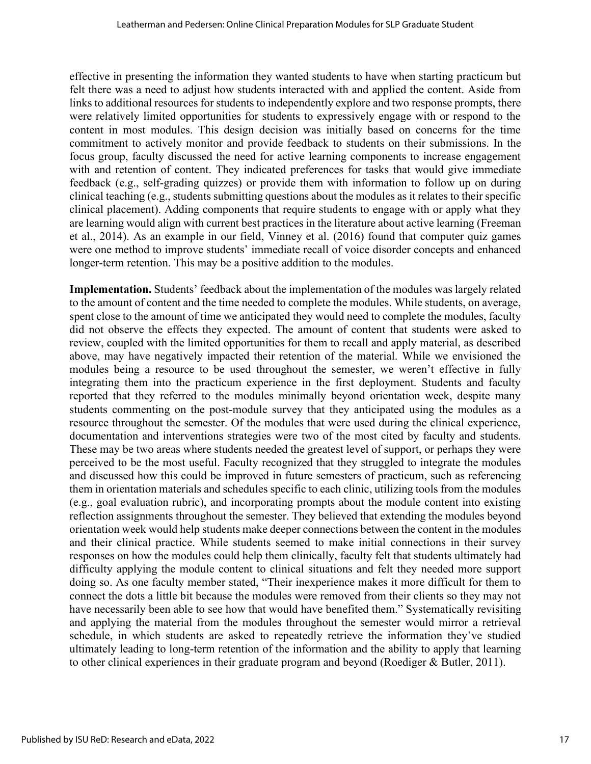effective in presenting the information they wanted students to have when starting practicum but felt there was a need to adjust how students interacted with and applied the content. Aside from links to additional resources for students to independently explore and two response prompts, there were relatively limited opportunities for students to expressively engage with or respond to the content in most modules. This design decision was initially based on concerns for the time commitment to actively monitor and provide feedback to students on their submissions. In the focus group, faculty discussed the need for active learning components to increase engagement with and retention of content. They indicated preferences for tasks that would give immediate feedback (e.g., self-grading quizzes) or provide them with information to follow up on during clinical teaching (e.g., students submitting questions about the modules as it relates to their specific clinical placement). Adding components that require students to engage with or apply what they are learning would align with current best practices in the literature about active learning (Freeman et al., 2014). As an example in our field, Vinney et al. (2016) found that computer quiz games were one method to improve students' immediate recall of voice disorder concepts and enhanced longer-term retention. This may be a positive addition to the modules.

**Implementation.** Students' feedback about the implementation of the modules was largely related to the amount of content and the time needed to complete the modules. While students, on average, spent close to the amount of time we anticipated they would need to complete the modules, faculty did not observe the effects they expected. The amount of content that students were asked to review, coupled with the limited opportunities for them to recall and apply material, as described above, may have negatively impacted their retention of the material. While we envisioned the modules being a resource to be used throughout the semester, we weren't effective in fully integrating them into the practicum experience in the first deployment. Students and faculty reported that they referred to the modules minimally beyond orientation week, despite many students commenting on the post-module survey that they anticipated using the modules as a resource throughout the semester. Of the modules that were used during the clinical experience, documentation and interventions strategies were two of the most cited by faculty and students. These may be two areas where students needed the greatest level of support, or perhaps they were perceived to be the most useful. Faculty recognized that they struggled to integrate the modules and discussed how this could be improved in future semesters of practicum, such as referencing them in orientation materials and schedules specific to each clinic, utilizing tools from the modules (e.g., goal evaluation rubric), and incorporating prompts about the module content into existing reflection assignments throughout the semester. They believed that extending the modules beyond orientation week would help students make deeper connections between the content in the modules and their clinical practice. While students seemed to make initial connections in their survey responses on how the modules could help them clinically, faculty felt that students ultimately had difficulty applying the module content to clinical situations and felt they needed more support doing so. As one faculty member stated, "Their inexperience makes it more difficult for them to connect the dots a little bit because the modules were removed from their clients so they may not have necessarily been able to see how that would have benefited them." Systematically revisiting and applying the material from the modules throughout the semester would mirror a retrieval schedule, in which students are asked to repeatedly retrieve the information they've studied ultimately leading to long-term retention of the information and the ability to apply that learning to other clinical experiences in their graduate program and beyond (Roediger & Butler, 2011).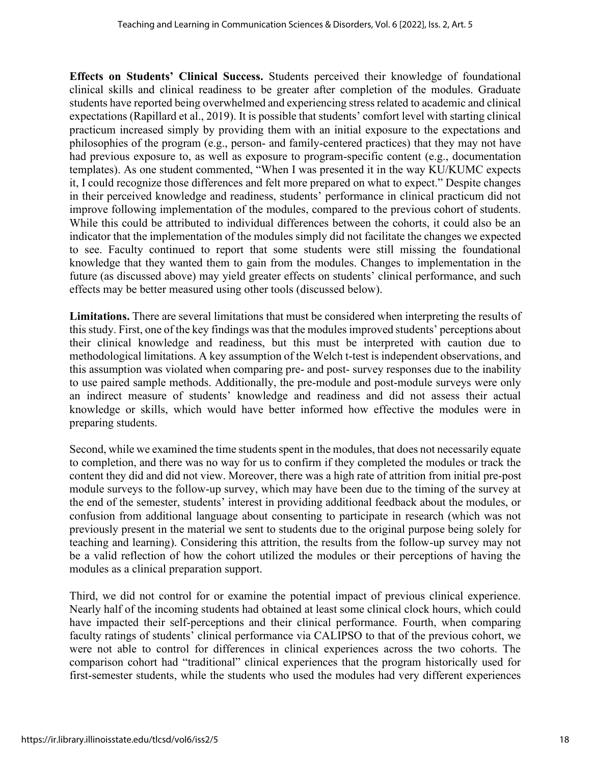**Effects on Students' Clinical Success.** Students perceived their knowledge of foundational clinical skills and clinical readiness to be greater after completion of the modules. Graduate students have reported being overwhelmed and experiencing stress related to academic and clinical expectations (Rapillard et al., 2019). It is possible that students' comfort level with starting clinical practicum increased simply by providing them with an initial exposure to the expectations and philosophies of the program (e.g., person- and family-centered practices) that they may not have had previous exposure to, as well as exposure to program-specific content (e.g., documentation templates). As one student commented, "When I was presented it in the way KU/KUMC expects it, I could recognize those differences and felt more prepared on what to expect." Despite changes in their perceived knowledge and readiness, students' performance in clinical practicum did not improve following implementation of the modules, compared to the previous cohort of students. While this could be attributed to individual differences between the cohorts, it could also be an indicator that the implementation of the modules simply did not facilitate the changes we expected to see. Faculty continued to report that some students were still missing the foundational knowledge that they wanted them to gain from the modules. Changes to implementation in the future (as discussed above) may yield greater effects on students' clinical performance, and such effects may be better measured using other tools (discussed below).

**Limitations.** There are several limitations that must be considered when interpreting the results of this study. First, one of the key findings was that the modules improved students' perceptions about their clinical knowledge and readiness, but this must be interpreted with caution due to methodological limitations. A key assumption of the Welch t-test is independent observations, and this assumption was violated when comparing pre- and post- survey responses due to the inability to use paired sample methods. Additionally, the pre-module and post-module surveys were only an indirect measure of students' knowledge and readiness and did not assess their actual knowledge or skills, which would have better informed how effective the modules were in preparing students.

Second, while we examined the time students spent in the modules, that does not necessarily equate to completion, and there was no way for us to confirm if they completed the modules or track the content they did and did not view. Moreover, there was a high rate of attrition from initial pre-post module surveys to the follow-up survey, which may have been due to the timing of the survey at the end of the semester, students' interest in providing additional feedback about the modules, or confusion from additional language about consenting to participate in research (which was not previously present in the material we sent to students due to the original purpose being solely for teaching and learning). Considering this attrition, the results from the follow-up survey may not be a valid reflection of how the cohort utilized the modules or their perceptions of having the modules as a clinical preparation support.

Third, we did not control for or examine the potential impact of previous clinical experience. Nearly half of the incoming students had obtained at least some clinical clock hours, which could have impacted their self-perceptions and their clinical performance. Fourth, when comparing faculty ratings of students' clinical performance via CALIPSO to that of the previous cohort, we were not able to control for differences in clinical experiences across the two cohorts. The comparison cohort had "traditional" clinical experiences that the program historically used for first-semester students, while the students who used the modules had very different experiences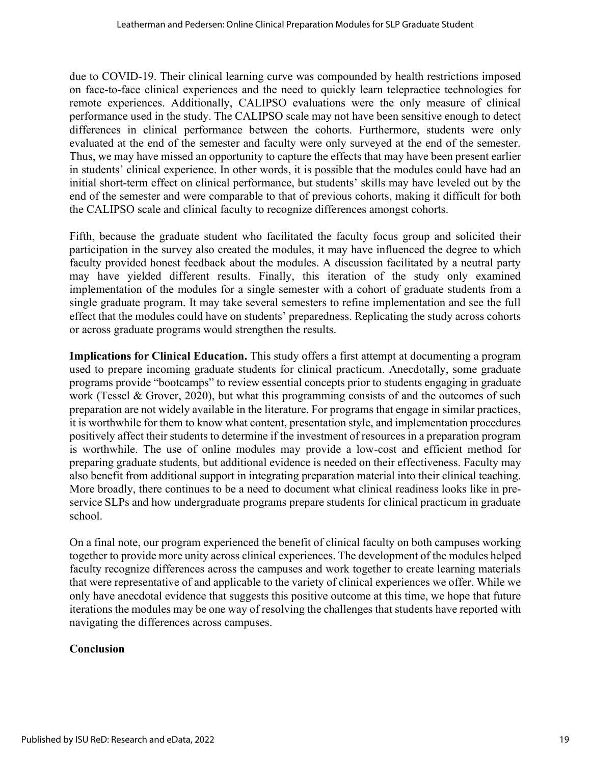due to COVID-19. Their clinical learning curve was compounded by health restrictions imposed on face-to-face clinical experiences and the need to quickly learn telepractice technologies for remote experiences. Additionally, CALIPSO evaluations were the only measure of clinical performance used in the study. The CALIPSO scale may not have been sensitive enough to detect differences in clinical performance between the cohorts. Furthermore, students were only evaluated at the end of the semester and faculty were only surveyed at the end of the semester. Thus, we may have missed an opportunity to capture the effects that may have been present earlier in students' clinical experience. In other words, it is possible that the modules could have had an initial short-term effect on clinical performance, but students' skills may have leveled out by the end of the semester and were comparable to that of previous cohorts, making it difficult for both the CALIPSO scale and clinical faculty to recognize differences amongst cohorts.

Fifth, because the graduate student who facilitated the faculty focus group and solicited their participation in the survey also created the modules, it may have influenced the degree to which faculty provided honest feedback about the modules. A discussion facilitated by a neutral party may have yielded different results. Finally, this iteration of the study only examined implementation of the modules for a single semester with a cohort of graduate students from a single graduate program. It may take several semesters to refine implementation and see the full effect that the modules could have on students' preparedness. Replicating the study across cohorts or across graduate programs would strengthen the results.

**Implications for Clinical Education.** This study offers a first attempt at documenting a program used to prepare incoming graduate students for clinical practicum. Anecdotally, some graduate programs provide "bootcamps" to review essential concepts prior to students engaging in graduate work (Tessel & Grover, 2020), but what this programming consists of and the outcomes of such preparation are not widely available in the literature. For programs that engage in similar practices, it is worthwhile for them to know what content, presentation style, and implementation procedures positively affect their students to determine if the investment of resources in a preparation program is worthwhile. The use of online modules may provide a low-cost and efficient method for preparing graduate students, but additional evidence is needed on their effectiveness. Faculty may also benefit from additional support in integrating preparation material into their clinical teaching. More broadly, there continues to be a need to document what clinical readiness looks like in preservice SLPs and how undergraduate programs prepare students for clinical practicum in graduate school.

On a final note, our program experienced the benefit of clinical faculty on both campuses working together to provide more unity across clinical experiences. The development of the modules helped faculty recognize differences across the campuses and work together to create learning materials that were representative of and applicable to the variety of clinical experiences we offer. While we only have anecdotal evidence that suggests this positive outcome at this time, we hope that future iterations the modules may be one way of resolving the challenges that students have reported with navigating the differences across campuses.

## **Conclusion**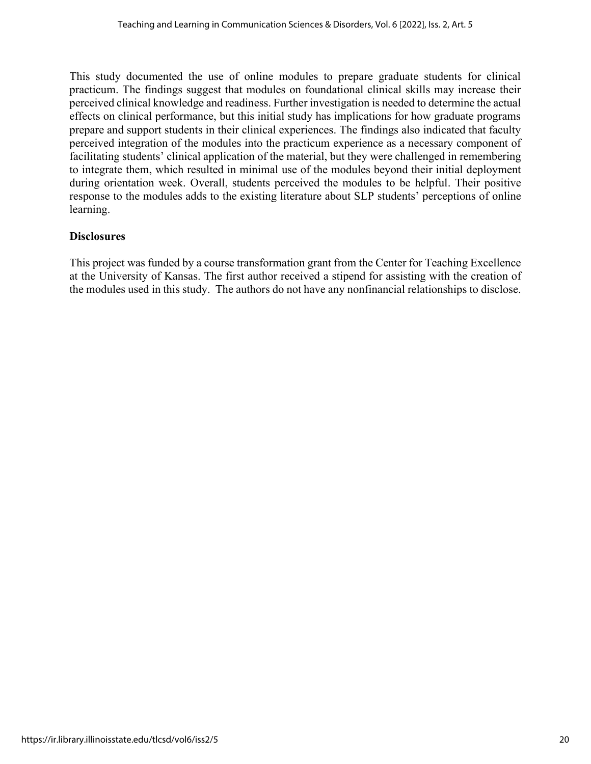This study documented the use of online modules to prepare graduate students for clinical practicum. The findings suggest that modules on foundational clinical skills may increase their perceived clinical knowledge and readiness. Further investigation is needed to determine the actual effects on clinical performance, but this initial study has implications for how graduate programs prepare and support students in their clinical experiences. The findings also indicated that faculty perceived integration of the modules into the practicum experience as a necessary component of facilitating students' clinical application of the material, but they were challenged in remembering to integrate them, which resulted in minimal use of the modules beyond their initial deployment during orientation week. Overall, students perceived the modules to be helpful. Their positive response to the modules adds to the existing literature about SLP students' perceptions of online learning.

#### **Disclosures**

This project was funded by a course transformation grant from the Center for Teaching Excellence at the University of Kansas. The first author received a stipend for assisting with the creation of the modules used in this study. The authors do not have any nonfinancial relationships to disclose.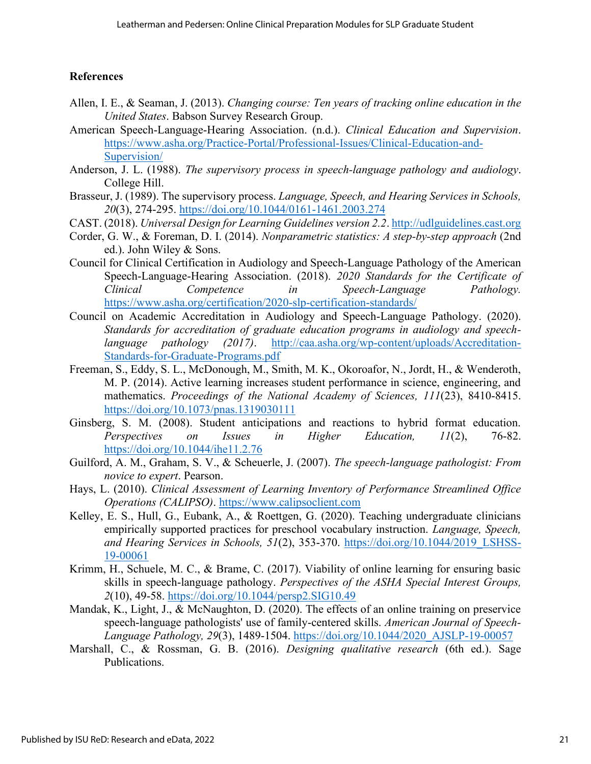#### **References**

- Allen, I. E., & Seaman, J. (2013). *Changing course: Ten years of tracking online education in the United States*. Babson Survey Research Group.
- American Speech-Language-Hearing Association. (n.d.). *Clinical Education and Supervision*. [https://www.asha.org/Practice-Portal/Professional-Issues/Clinical-Education-and-](https://www.asha.org/Practice-Portal/Professional-Issues/Clinical-Education-and-Supervision/)[Supervision/](https://www.asha.org/Practice-Portal/Professional-Issues/Clinical-Education-and-Supervision/)
- Anderson, J. L. (1988). *The supervisory process in speech-language pathology and audiology*. College Hill.
- Brasseur, J. (1989). The supervisory process. *Language, Speech, and Hearing Services in Schools, 20*(3), 274-295.<https://doi.org/10.1044/0161-1461.2003.274>
- CAST. (2018). *Universal Design for Learning Guidelines version 2.2*. [http://udlguidelines.cast.org](http://udlguidelines.cast.org/)
- Corder, G. W., & Foreman, D. I. (2014). *Nonparametric statistics: A step-by-step approach* (2nd ed.). John Wiley & Sons.
- Council for Clinical Certification in Audiology and Speech-Language Pathology of the American Speech-Language-Hearing Association. (2018). *2020 Standards for the Certificate of Clinical Competence in Speech-Language Pathology.* <https://www.asha.org/certification/2020-slp-certification-standards/>
- Council on Academic Accreditation in Audiology and Speech-Language Pathology. (2020). *Standards for accreditation of graduate education programs in audiology and speechlanguage pathology (2017)*. [http://caa.asha.org/wp-content/uploads/Accreditation-](http://caa.asha.org/wp-content/uploads/Accreditation-Standards-for-Graduate-Programs.pdf)[Standards-for-Graduate-Programs.pdf](http://caa.asha.org/wp-content/uploads/Accreditation-Standards-for-Graduate-Programs.pdf)
- Freeman, S., Eddy, S. L., McDonough, M., Smith, M. K., Okoroafor, N., Jordt, H., & Wenderoth, M. P. (2014). Active learning increases student performance in science, engineering, and mathematics. *Proceedings of the National Academy of Sciences, 111*(23), 8410-8415. <https://doi.org/10.1073/pnas.1319030111>
- Ginsberg, S. M. (2008). Student anticipations and reactions to hybrid format education. *Perspectives on Issues in Higher Education, 11*(2), 76-82. <https://doi.org/10.1044/ihe11.2.76>
- Guilford, A. M., Graham, S. V., & Scheuerle, J. (2007). *The speech-language pathologist: From novice to expert*. Pearson.
- Hays, L. (2010). *Clinical Assessment of Learning Inventory of Performance Streamlined Office Operations (CALIPSO)*. [https://www.calipsoclient.com](https://www.calipsoclient.com/)
- Kelley, E. S., Hull, G., Eubank, A., & Roettgen, G. (2020). Teaching undergraduate clinicians empirically supported practices for preschool vocabulary instruction. *Language, Speech, and Hearing Services in Schools, 51*(2), 353-370. [https://doi.org/10.1044/2019\\_LSHSS-](https://doi.org/10.1044/2019_LSHSS-19-00061)[19-00061](https://doi.org/10.1044/2019_LSHSS-19-00061)
- Krimm, H., Schuele, M. C., & Brame, C. (2017). Viability of online learning for ensuring basic skills in speech-language pathology. *Perspectives of the ASHA Special Interest Groups, 2*(10), 49-58.<https://doi.org/10.1044/persp2.SIG10.49>
- Mandak, K., Light, J., & McNaughton, D. (2020). The effects of an online training on preservice speech-language pathologists' use of family-centered skills. *American Journal of Speech-Language Pathology, 29*(3), 1489-1504. [https://doi.org/10.1044/2020\\_AJSLP-19-00057](https://doi.org/10.1044/2020_AJSLP-19-00057)
- Marshall, C., & Rossman, G. B. (2016). *Designing qualitative research* (6th ed.). Sage Publications.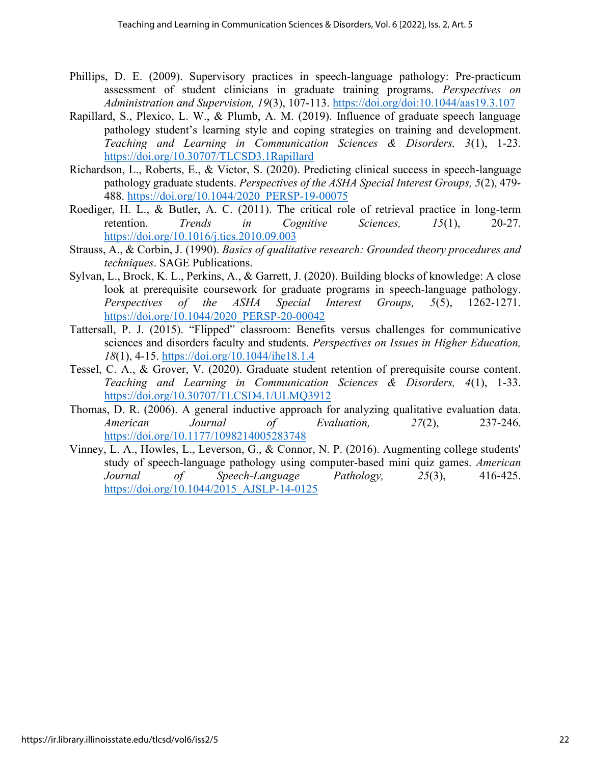- Phillips, D. E. (2009). Supervisory practices in speech-language pathology: Pre-practicum assessment of student clinicians in graduate training programs. *Perspectives on Administration and Supervision, 19*(3), 107-113.<https://doi.org/doi:10.1044/aas19.3.107>
- Rapillard, S., Plexico, L. W., & Plumb, A. M. (2019). Influence of graduate speech language pathology student's learning style and coping strategies on training and development. *Teaching and Learning in Communication Sciences & Disorders, 3*(1), 1-23. <https://doi.org/10.30707/TLCSD3.1Rapillard>
- Richardson, L., Roberts, E., & Victor, S. (2020). Predicting clinical success in speech-language pathology graduate students. *Perspectives of the ASHA Special Interest Groups, 5*(2), 479- 488. [https://doi.org/10.1044/2020\\_PERSP-19-00075](https://doi.org/10.1044/2020_PERSP-19-00075)
- Roediger, H. L., & Butler, A. C. (2011). The critical role of retrieval practice in long-term retention. *Trends in Cognitive Sciences, 15*(1), 20-27. <https://doi.org/10.1016/j.tics.2010.09.003>
- Strauss, A., & Corbin, J. (1990). *Basics of qualitative research: Grounded theory procedures and techniques*. SAGE Publications.
- Sylvan, L., Brock, K. L., Perkins, A., & Garrett, J. (2020). Building blocks of knowledge: A close look at prerequisite coursework for graduate programs in speech-language pathology. *Perspectives of the ASHA Special Interest Groups, 5*(5), 1262-1271. [https://doi.org/10.1044/2020\\_PERSP-20-00042](https://doi.org/10.1044/2020_PERSP-20-00042)
- Tattersall, P. J. (2015). "Flipped" classroom: Benefits versus challenges for communicative sciences and disorders faculty and students. *Perspectives on Issues in Higher Education, 18*(1), 4-15.<https://doi.org/10.1044/ihe18.1.4>
- Tessel, C. A., & Grover, V. (2020). Graduate student retention of prerequisite course content. *Teaching and Learning in Communication Sciences & Disorders, 4*(1), 1-33. <https://doi.org/10.30707/TLCSD4.1/ULMQ3912>
- Thomas, D. R. (2006). A general inductive approach for analyzing qualitative evaluation data. *American Journal of Evaluation, 27*(2), 237-246. <https://doi.org/10.1177/1098214005283748>
- Vinney, L. A., Howles, L., Leverson, G., & Connor, N. P. (2016). Augmenting college students' study of speech-language pathology using computer-based mini quiz games. *American Journal of Speech-Language Pathology, 25*(3), 416-425. [https://doi.org/10.1044/2015\\_AJSLP-14-0125](https://doi.org/10.1044/2015_AJSLP-14-0125)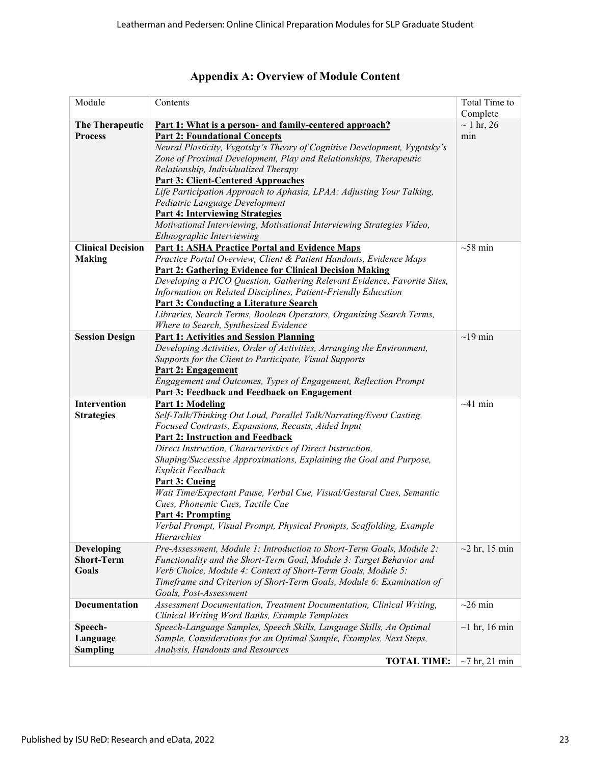| Module                   | Contents                                                                                       | Total Time to       |
|--------------------------|------------------------------------------------------------------------------------------------|---------------------|
|                          |                                                                                                | Complete            |
| The Therapeutic          | <u>Part 1: What is a person- and family-centered approach?</u>                                 | $\sim$ 1 hr, 26     |
| <b>Process</b>           | <b>Part 2: Foundational Concepts</b>                                                           | min                 |
|                          | Neural Plasticity, Vygotsky's Theory of Cognitive Development, Vygotsky's                      |                     |
|                          | Zone of Proximal Development, Play and Relationships, Therapeutic                              |                     |
|                          | Relationship, Individualized Therapy                                                           |                     |
|                          | <b>Part 3: Client-Centered Approaches</b>                                                      |                     |
|                          | Life Participation Approach to Aphasia, LPAA: Adjusting Your Talking,                          |                     |
|                          | Pediatric Language Development                                                                 |                     |
|                          | <b>Part 4: Interviewing Strategies</b>                                                         |                     |
|                          | Motivational Interviewing, Motivational Interviewing Strategies Video,                         |                     |
|                          | Ethnographic Interviewing                                                                      |                     |
| <b>Clinical Decision</b> | <b>Part 1: ASHA Practice Portal and Evidence Maps</b>                                          | $\sim$ 58 min       |
| <b>Making</b>            | Practice Portal Overview, Client & Patient Handouts, Evidence Maps                             |                     |
|                          | <b>Part 2: Gathering Evidence for Clinical Decision Making</b>                                 |                     |
|                          | Developing a PICO Question, Gathering Relevant Evidence, Favorite Sites,                       |                     |
|                          | Information on Related Disciplines, Patient-Friendly Education                                 |                     |
|                          | <b>Part 3: Conducting a Literature Search</b>                                                  |                     |
|                          | Libraries, Search Terms, Boolean Operators, Organizing Search Terms,                           |                     |
|                          | Where to Search, Synthesized Evidence                                                          |                     |
| <b>Session Design</b>    | <b>Part 1: Activities and Session Planning</b>                                                 | $\sim$ 19 min       |
|                          | Developing Activities, Order of Activities, Arranging the Environment,                         |                     |
|                          | Supports for the Client to Participate, Visual Supports                                        |                     |
|                          | <b>Part 2: Engagement</b>                                                                      |                     |
|                          | Engagement and Outcomes, Types of Engagement, Reflection Prompt                                |                     |
|                          | <b>Part 3: Feedback and Feedback on Engagement</b>                                             |                     |
| Intervention             | <b>Part 1: Modeling</b>                                                                        | $~1$ min            |
| <b>Strategies</b>        | Self-Talk/Thinking Out Loud, Parallel Talk/Narrating/Event Casting,                            |                     |
|                          | Focused Contrasts, Expansions, Recasts, Aided Input<br><b>Part 2: Instruction and Feedback</b> |                     |
|                          | Direct Instruction, Characteristics of Direct Instruction,                                     |                     |
|                          | Shaping/Successive Approximations, Explaining the Goal and Purpose,                            |                     |
|                          | Explicit Feedback                                                                              |                     |
|                          | <b>Part 3: Cueing</b>                                                                          |                     |
|                          | Wait Time/Expectant Pause, Verbal Cue, Visual/Gestural Cues, Semantic                          |                     |
|                          | Cues, Phonemic Cues, Tactile Cue                                                               |                     |
|                          | <b>Part 4: Prompting</b>                                                                       |                     |
|                          | Verbal Prompt, Visual Prompt, Physical Prompts, Scaffolding, Example                           |                     |
|                          | Hierarchies                                                                                    |                     |
| <b>Developing</b>        | Pre-Assessment, Module 1: Introduction to Short-Term Goals, Module 2:                          | $\sim$ 2 hr, 15 min |
| <b>Short-Term</b>        | Functionality and the Short-Term Goal, Module 3: Target Behavior and                           |                     |
| <b>Goals</b>             | Verb Choice, Module 4: Context of Short-Term Goals, Module 5:                                  |                     |
|                          | Timeframe and Criterion of Short-Term Goals, Module 6: Examination of                          |                     |
|                          | Goals, Post-Assessment                                                                         |                     |
| <b>Documentation</b>     | Assessment Documentation, Treatment Documentation, Clinical Writing,                           | $\sim$ 26 min       |
|                          | Clinical Writing Word Banks, Example Templates                                                 |                     |
| Speech-                  | Speech-Language Samples, Speech Skills, Language Skills, An Optimal                            | $\sim$ 1 hr, 16 min |
| Language                 | Sample, Considerations for an Optimal Sample, Examples, Next Steps,                            |                     |
| <b>Sampling</b>          | Analysis, Handouts and Resources                                                               |                     |
|                          | <b>TOTAL TIME:</b>                                                                             | $\sim$ 7 hr, 21 min |

| Appendix A: Overview of Module Content |  |  |  |  |
|----------------------------------------|--|--|--|--|
|                                        |  |  |  |  |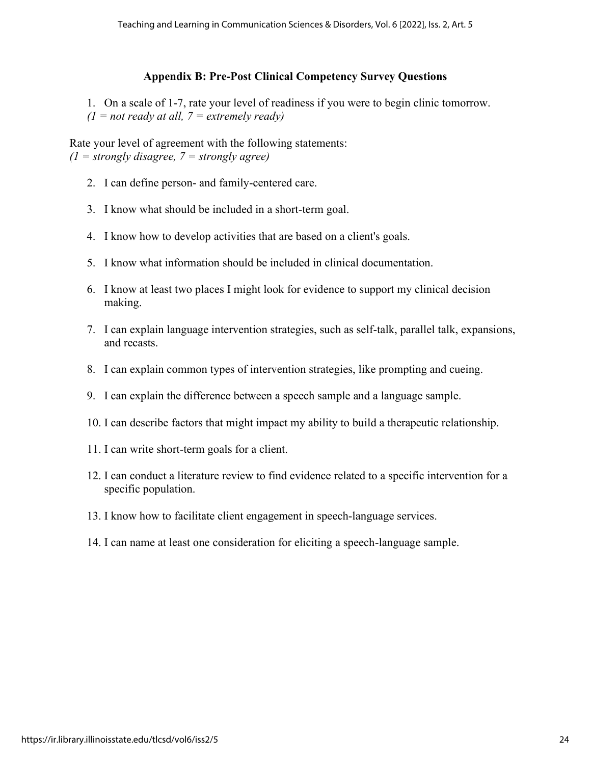## **Appendix B: Pre-Post Clinical Competency Survey Questions**

1. On a scale of 1-7, rate your level of readiness if you were to begin clinic tomorrow.  $(1 = not ready at all, 7 = extremely ready)$ 

Rate your level of agreement with the following statements:  $(1 = \text{strongly disagree}, 7 = \text{strongly agree})$ 

- 2. I can define person- and family-centered care.
- 3. I know what should be included in a short-term goal.
- 4. I know how to develop activities that are based on a client's goals.
- 5. I know what information should be included in clinical documentation.
- 6. I know at least two places I might look for evidence to support my clinical decision making.
- 7. I can explain language intervention strategies, such as self-talk, parallel talk, expansions, and recasts.
- 8. I can explain common types of intervention strategies, like prompting and cueing.
- 9. I can explain the difference between a speech sample and a language sample.
- 10. I can describe factors that might impact my ability to build a therapeutic relationship.
- 11. I can write short-term goals for a client.
- 12. I can conduct a literature review to find evidence related to a specific intervention for a specific population.
- 13. I know how to facilitate client engagement in speech-language services.
- 14. I can name at least one consideration for eliciting a speech-language sample.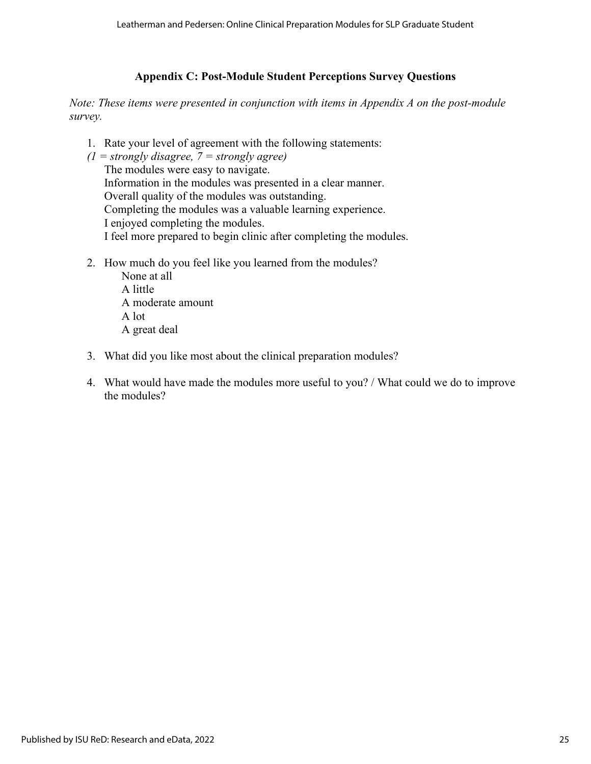## **Appendix C: Post-Module Student Perceptions Survey Questions**

*Note: These items were presented in conjunction with items in Appendix A on the post-module survey.*

- 1. Rate your level of agreement with the following statements:
- *(1 = strongly disagree, 7 = strongly agree)* The modules were easy to navigate. Information in the modules was presented in a clear manner. Overall quality of the modules was outstanding. Completing the modules was a valuable learning experience. I enjoyed completing the modules. I feel more prepared to begin clinic after completing the modules.
- 2. How much do you feel like you learned from the modules?
	- None at all A little A moderate amount A lot A great deal
- 3. What did you like most about the clinical preparation modules?
- 4. What would have made the modules more useful to you? / What could we do to improve the modules?